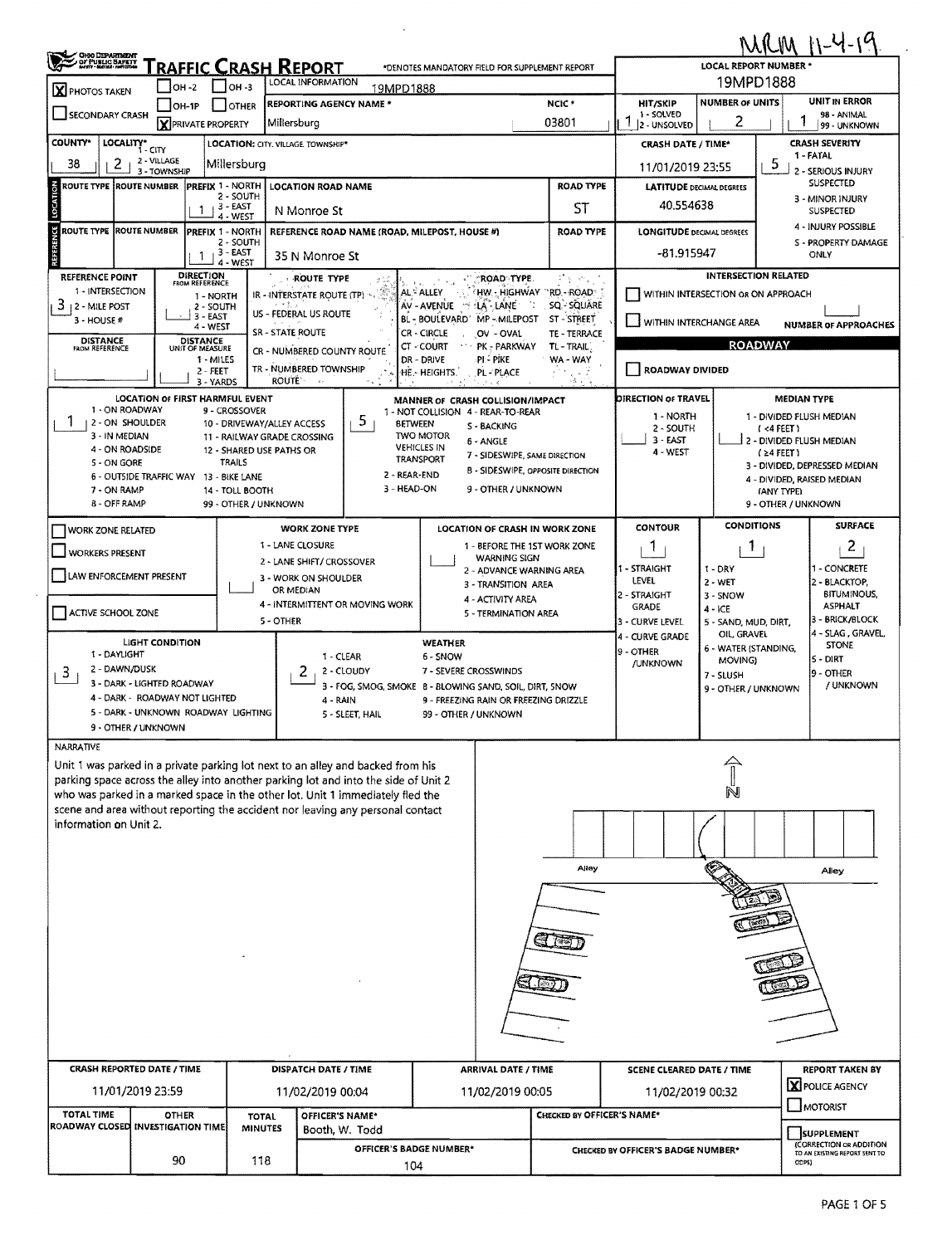| <b>CHOO DEPARTMENT<br/>GF PUBLIC SAFETT<br/>MART - MAYAL ANTODOM</b> | RAFFIC CRASH REPORT                                          |                                             |                                                                                                                                                                        | *DENOTES MANDATORY FIELD FOR SUPPLEMENT REPORT                                                   |                            |                                               | LOCAL REPORT NUMBER *                                       | <b>MRM 11-4-19</b>                                                            |  |  |  |
|----------------------------------------------------------------------|--------------------------------------------------------------|---------------------------------------------|------------------------------------------------------------------------------------------------------------------------------------------------------------------------|--------------------------------------------------------------------------------------------------|----------------------------|-----------------------------------------------|-------------------------------------------------------------|-------------------------------------------------------------------------------|--|--|--|
| <b>X</b> PHOTOS TAKEN                                                | 10н -2                                                       | OH -3                                       | LOCAL INFORMATION<br>19MPD1888                                                                                                                                         |                                                                                                  |                            | 19MPD1888                                     |                                                             |                                                                               |  |  |  |
| $JOH-1P$<br>OTHER                                                    |                                                              |                                             | <b>REPORTING AGENCY NAME *</b>                                                                                                                                         |                                                                                                  | NCIC <sup>+</sup>          | <b>HIT/SKIP</b>                               | <b>NUMBER OF UNITS</b>                                      | UNIT IN ERROR                                                                 |  |  |  |
| <b>SECONDARY CRASH</b><br><b>X</b> PRIVATE PROPERTY                  |                                                              |                                             | Millersburg                                                                                                                                                            |                                                                                                  | 03801                      | 1 - SOLVED<br>-1<br>2 - UNSOLVED              | 2                                                           | 98 - ANIMAL<br>99 - UNKNOWN                                                   |  |  |  |
| <b>COUNTY*</b><br>LOCALITY*                                          |                                                              |                                             | LOCATION: CITY. VILLAGE. TOWNSHIP*                                                                                                                                     |                                                                                                  |                            | <b>CRASH DATE / TIME*</b>                     |                                                             | <b>CRASH SEVERITY</b>                                                         |  |  |  |
| 38<br>z                                                              | $1 - CITY$<br>2 - VILLAGE                                    | Millersburg                                 |                                                                                                                                                                        |                                                                                                  |                            | 11/01/2019 23:55                              |                                                             | 1 - FATAL<br>5                                                                |  |  |  |
| ROUTE TYPE IROUTE NUMBER                                             | 3 - TOWNSHIP                                                 | <b>PREFIX 1 - NORTH</b>                     | <b>LOCATION ROAD NAME</b>                                                                                                                                              |                                                                                                  | <b>ROAD TYPE</b>           | <b>LATITUDE DECIMAL DEGREES</b>               | 2 - SERIOUS INJURY<br><b>SUSPECTED</b>                      |                                                                               |  |  |  |
|                                                                      |                                                              | 2 - SOUTH<br>13 - EAST                      |                                                                                                                                                                        | ST                                                                                               | 40.554638                  |                                               | 3 - MINOR INJURY                                            |                                                                               |  |  |  |
|                                                                      | 1                                                            | 4 - WEST                                    | N Monroe St                                                                                                                                                            |                                                                                                  |                            |                                               |                                                             | SUSPECTED<br>4 - INJURY POSSIBLE                                              |  |  |  |
| <b>ROUTE TYPE ROUTE NUMBER</b><br>ы                                  |                                                              | PREFIX 1 - NORTH<br>2 - SOUTH               | REFERENCE ROAD NAME (ROAD, MILEPOST, HOUSE #)                                                                                                                          |                                                                                                  | <b>ROAD TYPE</b>           | <b>LONGITUDE DECIMAL DEGREES</b>              |                                                             | S - PROPERTY DAMAGE                                                           |  |  |  |
|                                                                      | 1                                                            | 3 - EAST<br>4 - WEST                        | 35 N Monroe St                                                                                                                                                         |                                                                                                  |                            | -81.915947                                    |                                                             | ONLY                                                                          |  |  |  |
| <b>REFERENCE POINT</b>                                               | <b>DIRECTION</b><br>FROM REFERENCE                           |                                             | <b>ROUTE TYPE</b>                                                                                                                                                      | <b>"ROAD TYPE.</b>                                                                               | けんいん                       |                                               | <b>INTERSECTION RELATED</b>                                 |                                                                               |  |  |  |
| 1 - INTERSECTION<br>3<br><b>2 - MILE POST</b>                        | 1 - NORTH<br>2 - SOUTH                                       |                                             | IR - INTERSTATE ROUTE (TP)                                                                                                                                             | HW.- HIGHWAY "RD.- ROAD."<br>AL <sup>C</sup> ALLEY<br>n.<br>AV - AVENUE - "FEAT-LANE"            | SQ - SQUARE                | WITHIN INTERSECTION OR ON APPROACH            |                                                             |                                                                               |  |  |  |
| $3 - HOUSE#$                                                         | 3 - EAST                                                     |                                             | US - FEDERAL US ROUTE                                                                                                                                                  | BL - BOULEVARD' MP - MILEPOST                                                                    | ST - STREET                | WITHIN INTERCHANGE AREA                       |                                                             |                                                                               |  |  |  |
| <b>DISTANCE</b>                                                      | 4 - WEST<br><b>DISTANCE</b>                                  |                                             | <b>SR-STATE ROUTE</b>                                                                                                                                                  | <b>CR-CIRCLE</b><br>OV - OVAL                                                                    | TE - TERRACE               | <b>NUMBER OF APPROACHES</b><br><b>ROADWAY</b> |                                                             |                                                                               |  |  |  |
| FROM REFERENCE                                                       | UNIT OF MEASURE<br>$1 - MILES$                               |                                             | CR - NUMBERED COUNTY ROUTE                                                                                                                                             | CT - COURT<br>PK - PARKWAY<br>∙PI – PIKE<br>DR - DRIVE                                           | TL - TRAIL)<br>WA - WAY    |                                               |                                                             |                                                                               |  |  |  |
|                                                                      | $2 - FEET$<br>3 - YARDS                                      |                                             | TR - NUMBERED TOWNSHIP<br><b>ROUTE</b><br>$\lambda$ .                                                                                                                  | HE. HEIGHTS.<br>PL - PLACE                                                                       | - 7<br>st st               | ROADWAY DIVIDED                               |                                                             |                                                                               |  |  |  |
|                                                                      | <b>LOCATION OF FIRST HARMFUL EVENT</b>                       |                                             |                                                                                                                                                                        | MANNER OF CRASH COLLISION/IMPACT                                                                 |                            | DIRECTION OF TRAVEL                           |                                                             | <b>MEDIAN TYPE</b>                                                            |  |  |  |
| 1 - ON ROADWAY<br>  2 - ON SHOULDER                                  |                                                              | 9 - CROSSOVER<br>10 - DRIVEWAY/ALLEY ACCESS | 5.<br><b>BETWEEN</b>                                                                                                                                                   | 1 - NOT COLLISION 4 - REAR-TO-REAR                                                               |                            | 1 - NORTH                                     |                                                             | 1 - DIVIDED FLUSH MEDIAN                                                      |  |  |  |
| 3 - IN MEDIAN                                                        |                                                              | 11 - RAILWAY GRADE CROSSING                 |                                                                                                                                                                        | S - BACKING<br><b>TWO MOTOR</b><br>6 - ANGLE                                                     |                            | 2 - SOUTH<br>$3 - EAST$                       |                                                             | $(4$ FEET)<br>2 - DIVIDED FLUSH MEDIAN                                        |  |  |  |
| 4 - ON ROADSIDE<br>5 - ON GORE                                       |                                                              | 12 - SHARED USE PATHS OR<br>TRAILS          |                                                                                                                                                                        | <b>VEHICLES IN</b><br>7 - SIDESWIPE, SAME DIRECTION<br>TRANSPORT                                 |                            | 4 - WEST                                      |                                                             | $(24$ FEET)                                                                   |  |  |  |
|                                                                      | 6 - OUTSIDE TRAFFIC WAY 13 - BIKE LANE                       |                                             | 2 - REAR-END                                                                                                                                                           | <b>B - SIDESWIPE, OPPOSITE DIRECTION</b>                                                         |                            |                                               | 3 - DIVIDED, DEPRESSED MEDIAN<br>4 - DIVIDED, RAISED MEDIAN |                                                                               |  |  |  |
| 7 - ON RAMP<br>8 - OFF RAMP                                          |                                                              | 14 - TOLL BOOTH                             | 3 - HEAD-ON                                                                                                                                                            | 9 - OTHER / UNKNOWN                                                                              |                            |                                               |                                                             | (ANY TYPE)                                                                    |  |  |  |
|                                                                      |                                                              | 99 - OTHER / UNKNOWN                        |                                                                                                                                                                        |                                                                                                  |                            |                                               |                                                             | 9 - OTHER / UNKNOWN                                                           |  |  |  |
| <b>WORK ZONE RELATED</b>                                             |                                                              |                                             | <b>WORK ZONE TYPE</b>                                                                                                                                                  | LOCATION OF CRASH IN WORK ZONE                                                                   |                            | <b>CONTOUR</b>                                | <b>CONDITIONS</b>                                           | <b>SURFACE</b>                                                                |  |  |  |
| <b>WORKERS PRESENT</b>                                               |                                                              |                                             | 1 - LANE CLOSURE<br>2 - LANE SHIFT/ CROSSOVER                                                                                                                          | 1 - BEFORE THE 1ST WORK ZONE                                                                     | 1                          | Т.                                            | 2                                                           |                                                                               |  |  |  |
| LAW ENFORCEMENT PRESENT                                              |                                                              |                                             | 3 - WORK ON SHOULDER                                                                                                                                                   | 2 - ADVANCE WARNING AREA                                                                         |                            | 1 - STRAIGHT<br>LEVEL                         | $1 - DRY$<br>$2 - WET$                                      | - CONCRETE<br>2 - BLACKTOP,                                                   |  |  |  |
|                                                                      |                                                              |                                             | OR MEDIAN                                                                                                                                                              | 3 - TRANSITION AREA<br>4 - ACTIVITY AREA                                                         |                            | 2 - STRAIGHT                                  | 3 - SNOW                                                    | <b>BITUMINOUS,</b>                                                            |  |  |  |
| ACTIVE SCHOOL ZONE                                                   |                                                              |                                             | 4 - INTERMITTENT OR MOVING WORK<br>5 - OTHER                                                                                                                           | 5 - TERMINATION AREA                                                                             |                            | <b>GRADE</b><br>3 - CURVE LEVEL               | 4 - ICE<br>5 - SAND, MUD, DIRT,                             | <b>ASPHALT</b><br>3 - BRICK/BLOCK                                             |  |  |  |
|                                                                      | LIGHT CONDITION                                              |                                             |                                                                                                                                                                        |                                                                                                  |                            | 4 - CURVE GRADE                               | OIL, GRAVEL                                                 | 4 - SLAG, GRAVEL,                                                             |  |  |  |
| 1 - DAYLIGHT                                                         |                                                              |                                             | 1 - CLEAR                                                                                                                                                              | <b>WEATHER</b><br>6 - SNOW                                                                       |                            | 19 - OTHER                                    | 6 - WATER (STANDING,<br>MOVING)                             | <b>STONE</b><br>ls - DIRT                                                     |  |  |  |
| 2 - DAWN/DUSK<br>3                                                   |                                                              |                                             | 2 - CLOUDY<br>2                                                                                                                                                        | 7 - SEVERE CROSSWINDS                                                                            |                            | <b>/UNKNOWN</b>                               | 7 - SLUSH                                                   | 9 - OTHER                                                                     |  |  |  |
|                                                                      | 3 - DARK - LIGHTED ROADWAY<br>4 - DARK - ROADWAY NOT LIGHTED |                                             | 4 - RAIN                                                                                                                                                               | 3 - FOG, SMOG, SMOKE 8 - BLOWING SAND, SOIL, DIRT, SNOW<br>9 - FREEZING RAIN OR FREEZING DRIZZLE |                            |                                               | 9 - OTHER / UNKNOWN                                         | / UNKNOWN                                                                     |  |  |  |
|                                                                      | 5 - DARK - UNKNOWN ROADWAY LIGHTING                          |                                             | 5 - SLEET, HAIL                                                                                                                                                        | 99 - OTHER / UNKNOWN                                                                             |                            |                                               |                                                             |                                                                               |  |  |  |
|                                                                      | 9 - OTHER / UNKNOWN                                          |                                             |                                                                                                                                                                        |                                                                                                  |                            |                                               |                                                             |                                                                               |  |  |  |
| NARRATIVE                                                            |                                                              |                                             |                                                                                                                                                                        |                                                                                                  |                            |                                               |                                                             |                                                                               |  |  |  |
|                                                                      |                                                              |                                             | Unit 1 was parked in a private parking lot next to an alley and backed from his<br>parking space across the alley into another parking lot and into the side of Unit 2 |                                                                                                  |                            |                                               |                                                             |                                                                               |  |  |  |
|                                                                      |                                                              |                                             | who was parked in a marked space in the other lot. Unit 1 immediately fled the                                                                                         |                                                                                                  |                            |                                               |                                                             |                                                                               |  |  |  |
|                                                                      |                                                              |                                             | scene and area without reporting the accident nor leaving any personal contact                                                                                         |                                                                                                  |                            |                                               |                                                             |                                                                               |  |  |  |
| information on Unit 2.                                               |                                                              |                                             |                                                                                                                                                                        |                                                                                                  |                            |                                               |                                                             |                                                                               |  |  |  |
|                                                                      |                                                              |                                             |                                                                                                                                                                        |                                                                                                  |                            |                                               |                                                             |                                                                               |  |  |  |
|                                                                      |                                                              |                                             |                                                                                                                                                                        |                                                                                                  | Alley                      |                                               |                                                             | Alley                                                                         |  |  |  |
|                                                                      |                                                              |                                             |                                                                                                                                                                        |                                                                                                  |                            |                                               |                                                             |                                                                               |  |  |  |
|                                                                      |                                                              |                                             |                                                                                                                                                                        |                                                                                                  |                            |                                               |                                                             |                                                                               |  |  |  |
|                                                                      |                                                              |                                             |                                                                                                                                                                        |                                                                                                  |                            |                                               |                                                             |                                                                               |  |  |  |
|                                                                      |                                                              |                                             |                                                                                                                                                                        |                                                                                                  |                            |                                               |                                                             |                                                                               |  |  |  |
|                                                                      |                                                              |                                             |                                                                                                                                                                        |                                                                                                  |                            |                                               |                                                             |                                                                               |  |  |  |
|                                                                      |                                                              |                                             |                                                                                                                                                                        |                                                                                                  |                            |                                               |                                                             |                                                                               |  |  |  |
|                                                                      |                                                              |                                             |                                                                                                                                                                        |                                                                                                  |                            |                                               |                                                             |                                                                               |  |  |  |
|                                                                      |                                                              |                                             |                                                                                                                                                                        |                                                                                                  |                            |                                               |                                                             |                                                                               |  |  |  |
|                                                                      |                                                              |                                             |                                                                                                                                                                        |                                                                                                  |                            |                                               |                                                             |                                                                               |  |  |  |
|                                                                      | <b>CRASH REPORTED DATE / TIME</b>                            |                                             | DISPATCH DATE / TIME                                                                                                                                                   | <b>ARRIVAL DATE / TIME</b>                                                                       |                            | <b>SCENE CLEARED DATE / TIME</b>              |                                                             | <b>REPORT TAKEN BY</b>                                                        |  |  |  |
|                                                                      |                                                              |                                             |                                                                                                                                                                        | 11/02/2019 00:05                                                                                 | 11/02/2019 00:32           | <b>X</b> POLICE AGENCY                        |                                                             |                                                                               |  |  |  |
|                                                                      | 11/01/2019 23:59                                             |                                             | 11/02/2019 00:04                                                                                                                                                       |                                                                                                  |                            | MOTORIST                                      |                                                             |                                                                               |  |  |  |
|                                                                      |                                                              |                                             |                                                                                                                                                                        |                                                                                                  |                            |                                               |                                                             |                                                                               |  |  |  |
| <b>TOTAL TIME</b>                                                    | <b>OTHER</b><br>ROADWAY CLOSED INVESTIGATION TIME            | <b>TOTAL</b><br><b>MINUTES</b>              | OFFICER'S NAME*<br>Booth, W. Todd                                                                                                                                      |                                                                                                  | CHECKED BY OFFICER'S NAME* |                                               |                                                             |                                                                               |  |  |  |
|                                                                      | 90                                                           |                                             | OFFICER'S BADGE NUMBER*                                                                                                                                                |                                                                                                  |                            | CHECKED BY OFFICER'S BADGE NUMBER*            |                                                             | <b>SUPPLEMENT</b><br>(CORRECTION OR ADDITION<br>TO AN EXISTING REPORT SENT TO |  |  |  |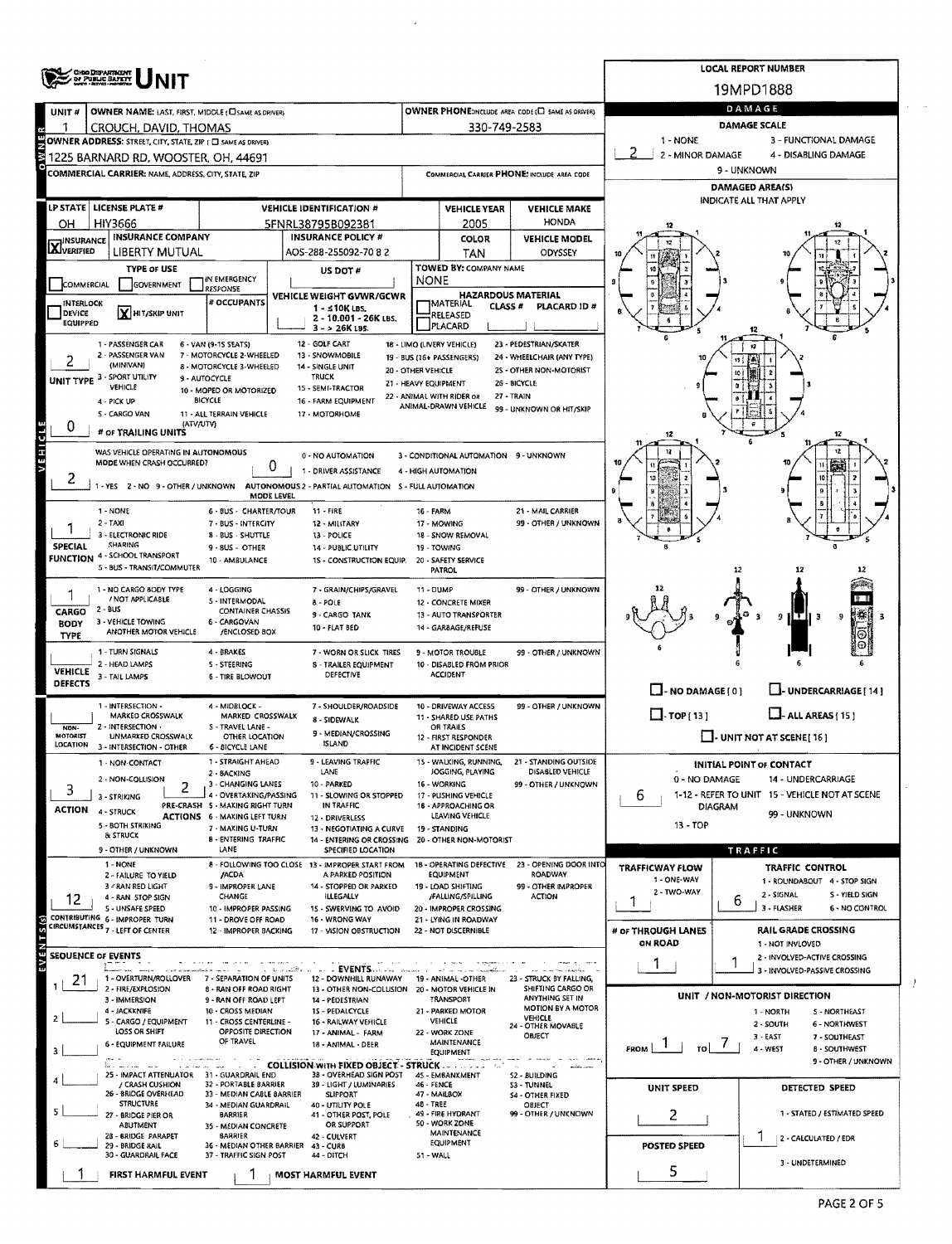|                                      | <b>CHOODSPARTMENT</b><br>OF PUBLIC BAFETY                                                           |                                                                        | <b>LOCAL REPORT NUMBER</b>                                                |                                            |                                                                         |                                                             |                                   |                                                               |  |  |  |  |
|--------------------------------------|-----------------------------------------------------------------------------------------------------|------------------------------------------------------------------------|---------------------------------------------------------------------------|--------------------------------------------|-------------------------------------------------------------------------|-------------------------------------------------------------|-----------------------------------|---------------------------------------------------------------|--|--|--|--|
|                                      |                                                                                                     |                                                                        | 19MPD1888                                                                 |                                            |                                                                         |                                                             |                                   |                                                               |  |  |  |  |
| UNIT#                                | OWNER NAME: LAST, FIRST, MIDDLE (CI SAME AS DRIVER)                                                 |                                                                        |                                                                           |                                            |                                                                         | OWNER PHONE:INCLUDE AREA CODE (E) SAME AS DRIVERY           | DAMAGE                            |                                                               |  |  |  |  |
|                                      | CROUCH, DAVID, THOMAS                                                                               |                                                                        |                                                                           |                                            | 330-749-2583                                                            |                                                             | DAMAGE SCALE                      |                                                               |  |  |  |  |
|                                      | OWNER ADDRESS: STREET, CITY, STATE, ZIP ( C) SAME AS DRIVERY<br>1225 BARNARD RD. WOOSTER. OH. 44691 |                                                                        |                                                                           |                                            |                                                                         |                                                             | 1 - NONE<br>2<br>2 - MINOR DAMAGE | 3 - FUNCTIONAL DAMAGE<br>4 - DISABLING DAMAGE                 |  |  |  |  |
|                                      | COMMERCIAL CARRIER: NAME, ADDRESS, CITY, STATE, ZIP                                                 |                                                                        |                                                                           |                                            |                                                                         | COMMERCIAL CARRIER PHONE: INCLUDE AREA CODE                 | 9 - UNKNOWN                       |                                                               |  |  |  |  |
|                                      |                                                                                                     |                                                                        |                                                                           |                                            |                                                                         |                                                             | <b>DAMAGED AREA(S)</b>            |                                                               |  |  |  |  |
|                                      | LP STATE   LICENSE PLATE #                                                                          |                                                                        | <b>VEHICLE IDENTIFICATION #</b>                                           |                                            | <b>VEHICLE YEAR</b>                                                     | <b>VEHICLE MAKE</b>                                         | <b>INDICATE ALL THAT APPLY</b>    |                                                               |  |  |  |  |
| OН                                   | HIY3666                                                                                             | 5FNRL38795B092381                                                      | HONDA<br>2005                                                             |                                            |                                                                         |                                                             |                                   |                                                               |  |  |  |  |
| <b>INSURANCE</b><br><b>X</b> INSURAN | <b>INSURANCE COMPANY</b><br><b>LIBERTY MUTUAL</b>                                                   |                                                                        | <b>INSURANCE POLICY #</b><br>AOS-288-255092-7082                          |                                            | COLOR<br>TAN                                                            | <b>VEHICLE MODEL</b><br>ODYSSEY                             |                                   |                                                               |  |  |  |  |
|                                      | <b>TYPE OF USE</b>                                                                                  |                                                                        | US DOT #                                                                  |                                            | TOWED BY: COMPANY NAME                                                  |                                                             |                                   |                                                               |  |  |  |  |
| COMMERCIAL                           | GOVERNMENT                                                                                          | IN EMERGENCY<br>RESPONSE                                               |                                                                           | NONE                                       |                                                                         |                                                             |                                   |                                                               |  |  |  |  |
| <b>INTERLOCK</b>                     |                                                                                                     | # OCCUPANTS                                                            | VEHICLE WEIGHT GVWR/GCWR<br>1 - ≤10K LBS.                                 |                                            | <b>HAZARDOUS MATERIAL</b><br><b>TMATERIAL</b><br>CLASS #<br>PLACARD ID# |                                                             |                                   |                                                               |  |  |  |  |
| DEVICE<br><b>EQUIPPED</b>            | X HIT/SKIP UNIT                                                                                     |                                                                        | 2 - 10,001 - 26K LBS.<br>$3 - 26K$ LBS.                                   |                                            | RELEASED<br>PLACARD                                                     |                                                             |                                   |                                                               |  |  |  |  |
|                                      | 1 - PASSENGER CAR                                                                                   | 6 - VAN (9-1S SEATS)                                                   | 12 - GOLF CART                                                            | 18 - LIMO (LIVERY VEHICLE)                 |                                                                         | 23 - PEDESTRIAN/SKATER                                      |                                   | 12                                                            |  |  |  |  |
|                                      | 2 - PASSENGER VAN<br>(MINIVAN)                                                                      | 7 - MOTORCYCLE 2-WHEELED<br>8 - MOTORCYCLE 3-WHEELED                   | 13 - SNOWMOBILE<br>14 - SINGLE UNIT                                       |                                            | 19 - BUS (16+ PASSENGERS)                                               | 24 - WHEELCHAIR (ANY TYPE)                                  |                                   |                                                               |  |  |  |  |
|                                      | UNIT TYPE 3 - SPORT UTILITY<br>VEHICLE                                                              | 9 - AUTOCYCLE                                                          | <b>TRUCK</b><br>15 - SEMI-TRACTOR                                         | 20 - OTHER VEHICLE<br>21 - HEAVY EQUIPMENT |                                                                         | 25 - OTHER NON-MOTORIST<br>26 - BICYCLE                     |                                   |                                                               |  |  |  |  |
|                                      | 4 - PICK UP                                                                                         | 10 - MOPED OR MOTORIZED<br><b>BICYCLE</b>                              | 16 - FARM EQUIPMENT                                                       |                                            | 22 - ANIMAL WITH RIDER OR<br>ANIMAL-DRAWN VEHICLE                       | 27 - TRAIN                                                  |                                   |                                                               |  |  |  |  |
|                                      | S - CARGO VAN<br>(ATV/UTV)                                                                          | 11 - ALL TERRAIN VEHICLE                                               | 17 - MOTORHOME                                                            |                                            |                                                                         | 99 - UNKNOWN OR HIT/SKIP                                    |                                   |                                                               |  |  |  |  |
| U                                    | # OF TRAILING UNITS                                                                                 |                                                                        |                                                                           |                                            |                                                                         |                                                             | 12                                | 12                                                            |  |  |  |  |
| VEHICLE                              | WAS VEHICLE OPERATING IN AUTONOMOUS<br>MODE WHEN CRASH OCCURRED?                                    |                                                                        | 0 - NO AUTOMATION                                                         |                                            | 3 - CONDITIONAL AUTOMATION 9 - UNKNOWN                                  |                                                             |                                   |                                                               |  |  |  |  |
|                                      |                                                                                                     |                                                                        | 0<br>1 - DRIVER ASSISTANCE                                                | 4 - HIGH AUTOMATION                        |                                                                         |                                                             |                                   |                                                               |  |  |  |  |
|                                      | - YES 2 - NO 9 - OTHER / UNKNOWN                                                                    |                                                                        | AUTONOMOUS 2 - PARTIAL AUTOMATION S - FULL AUTOMATION<br>MODE LEVEL       |                                            |                                                                         |                                                             |                                   |                                                               |  |  |  |  |
|                                      | 1 - NONE                                                                                            | 6 - BUS - CHARTER/TOUR                                                 | $11 - FIRE$                                                               | 16 - FARM                                  |                                                                         | 21 - MAIL CARRIER                                           |                                   |                                                               |  |  |  |  |
|                                      | $2 - TAXI$<br>3 - ELECTRONIC RIDE                                                                   | 7 - BUS - INTERCITY<br><b>8 - BUS - SHUTTLE</b>                        | 12 - MILITARY<br>13 - POLICE                                              |                                            | 17 - MOWING<br>18 - SNOW REMOVAL                                        | 99 - OTHER / UNKNOWN                                        |                                   |                                                               |  |  |  |  |
| <b>SPECIAL</b>                       | SHARING<br><b>FUNCTION 4 - SCHOOL TRANSPORT</b>                                                     | 9 - 8US - OTHER                                                        | 14 - PUBLIC UTILITY                                                       |                                            | 19 - TOWING                                                             |                                                             |                                   |                                                               |  |  |  |  |
|                                      | 5 - BUS - TRANSIT/COMMUTER                                                                          | 10 - AMBULANCE                                                         | 15 - CONSTRUCTION EQUIP.                                                  |                                            | 20 - SAFETY SERVICE<br>PATROL                                           |                                                             |                                   |                                                               |  |  |  |  |
|                                      | 1 - NO CARGO BODY TYPE                                                                              | 4 - LOGGING                                                            | 7 - GRAIN/CHIPS/GRAVEL                                                    | 11 - DUMP                                  |                                                                         | 99 - OTHER / UNKNOWN                                        |                                   |                                                               |  |  |  |  |
| CARGO                                | / NOT APPLICABLE<br>2 - BUS                                                                         | 5 - INTERMODAL<br><b>CONTAINER CHASSIS</b>                             | 8 - POLE                                                                  |                                            | 12 - CONCRETE MIXER                                                     |                                                             |                                   |                                                               |  |  |  |  |
| <b>BODY</b>                          | 3 - VEHICLE TOWING                                                                                  | 6 - CARGOVAN                                                           | 9 - CARGO TANK<br>10 - FLAT BED                                           |                                            | 13 - AUTO TRANSPORTER<br>14 - GARBAGE/REFUSE                            |                                                             |                                   | 佛<br>-3<br>9<br>9                                             |  |  |  |  |
| TYPE                                 | ANOTHER MOTOR VEHICLE                                                                               | /ENCLOSED BOX                                                          |                                                                           |                                            |                                                                         |                                                             |                                   |                                                               |  |  |  |  |
|                                      | 1 - TURN SIGNALS<br>2 - HEAD LAMPS                                                                  | 4 - BRAKES<br><b>S-STEERING</b>                                        | 7 - WORN OR SLICK TIRES<br><b>8 - TRAILER EQUIPMENT</b>                   |                                            | 9 - MOTOR TROUBLE<br>10 - DISABLED FROM PRIOR                           | 99 - OTHER / UNKNOWN                                        |                                   |                                                               |  |  |  |  |
| <b>VEHICLE</b><br><b>DEFECTS</b>     | 3 - TAIL LAMPS                                                                                      | <b>6 - TIRE BLOWOUT</b>                                                | DEFECTIVE                                                                 |                                            | ACCIDENT                                                                |                                                             |                                   |                                                               |  |  |  |  |
|                                      | 1 - INTERSECTION -                                                                                  | 4 - MIDBLOCK -                                                         | 7 - SHOULDER/ROADSIDE                                                     |                                            | 10 - DRIVEWAY ACCESS                                                    | 99 - OTHER / UNKNOWN                                        | $\Box$ - NO DAMAGE(0)             | LL-UNDERCARRIAGE [ 14 ]                                       |  |  |  |  |
|                                      | MARKED CROSSWALK                                                                                    | MARKED CROSSWALK                                                       | 8 - SIDEWALK                                                              |                                            | 11 - SHARED USE PATHS                                                   |                                                             | $\Box$ -TOP[13]                   | $L$ -ALL AREAS $(15)$                                         |  |  |  |  |
| NON-<br><b>MOTORIST</b>              | 2 - INTERSECTION -<br><b>UNMARKED CROSSWALK</b>                                                     | S - TRAVEL LANE -<br>OTHER LOCATION                                    | 9 - MEDIAN/CROSSING<br><b>ISLAND</b>                                      |                                            | OR TRAILS<br>12 - FIRST RESPONDER                                       |                                                             | $\Box$ UNIT NOT AT SCENE [ 16 ]   |                                                               |  |  |  |  |
| LOCATION                             | 3 - INTERSECTION - OTHER<br>1 - NON-CONTACT                                                         | <b>6 - BICYCLE LANE</b><br>1 - STRAIGHT AHEAD                          | 9 - LEAVING TRAFFIC                                                       |                                            | AT INCIDENT SCENE<br>15 - WALKING, RUNNING,                             | 21 - STANDING OUTSIDE                                       |                                   |                                                               |  |  |  |  |
|                                      | 2 - NON-COLLISION                                                                                   | 2 - BACKING                                                            | LANE                                                                      |                                            | JOGGING, PLAYING                                                        | DISABLED VEHICLE                                            | 0 - NO DAMAGE                     | <b>INITIAL POINT OF CONTACT</b><br>14 - UNDERCARRIAGE         |  |  |  |  |
| 3                                    | 2<br>3 - STRIKING                                                                                   | 3 - CHANGING LANES<br>4 - OVERTAKING/PASSING                           | 10 - PARKED<br>11 - SLOWING OR STOPPED                                    |                                            | 16 - WORKING<br>17 - PUSHING VEHICLE                                    | 99 - OTHER / UNKNOWN                                        | 6                                 | 1-12 - REFER TO UNIT 15 - VEHICLE NOT AT SCENE                |  |  |  |  |
| ACTION                               | 4 - STRUCK                                                                                          | PRE-CRASH 5 - MAKING RIGHT TURN<br><b>ACTIONS 6 - MAKING LEFT TURN</b> | IN TRAFFIC<br>12 - DRIVERLESS                                             |                                            | 18 - APPROACHING OR<br>LEAVING VEHICLE                                  |                                                             |                                   | DIAGRAM<br>99 - UNKNOWN                                       |  |  |  |  |
|                                      | 5 - BOTH STRIKING<br>& STRUCK                                                                       | 7 - MAKING U-TURN                                                      | 13 - NEGOTIATING A CURVE                                                  |                                            | 19 - STANDING                                                           |                                                             | 13 - TOP                          |                                                               |  |  |  |  |
|                                      | 9 - OTHER / UNKNOWN                                                                                 | <b>8 - ENTERING TRAFFIC</b><br>LANE                                    | 14 - ENTERING OR CROSSING 20 - OTHER NON-MOTORIST<br>SPECIFIED LOCATION   |                                            |                                                                         |                                                             |                                   | TRAFFIC                                                       |  |  |  |  |
|                                      | 1 - NONE<br>2 - FAILURE TO YIELD                                                                    | <b>JACDA</b>                                                           | 8 - FOLLOWING TOO CLOSE 13 - IMPROPER START FROM<br>A PARKED POSITION     |                                            | 18 - OPERATING DEFECTIVE<br><b>EQUIPMENT</b>                            | 23 - OPENING DOOR INTO<br>ROADWAY                           | TRAFFICWAY FLOW                   | TRAFFIC CONTROL                                               |  |  |  |  |
|                                      | 3 - RAN RED LIGHT                                                                                   | 9 - IMPROPER LANE                                                      | 14 - STOPPED OR PARKED                                                    |                                            | 19 - LOAD SHIFTING                                                      | 99 - OTHER IMPROPER                                         | 1 - ONE-WAY<br>2 - TWO-WAY        | 1 - ROUNDABOUT 4 - STOP SIGN<br>2 - SIGNAL<br>S - YIELD SIGN  |  |  |  |  |
| 12                                   | 4 - RAN STOP SIGN<br>S - UNSAFE SPEED                                                               | CHANGE<br>10 - IMPROPER PASSING                                        | ILLEGALLY<br>15 - SWERVING TO AVOID                                       |                                            | /FALLING/SPILLING<br>20 - IMPROPER CROSSING                             | <b>ACTION</b>                                               |                                   | 6<br>3 - FLASHER<br>6 - NO CONTROL                            |  |  |  |  |
|                                      | CONTRIBUTING 6 - IMPROPER TURN<br>CIRCUMSTANCES 7 - LEFT OF CENTER                                  | 11 - DROVE OFF ROAD<br>12 - IMPROPER BACKING                           | 16 - WRONG WAY<br>17 - VISION OBSTRUCTION                                 |                                            | 21 - LYING IN ROADWAY<br>22 - NOT DISCERNIBLE                           |                                                             | # or THROUGH LANES                | RAIL GRADE CROSSING                                           |  |  |  |  |
|                                      |                                                                                                     |                                                                        |                                                                           |                                            |                                                                         |                                                             | <b>ON ROAD</b>                    | 1 - NOT INVLOVED                                              |  |  |  |  |
| SEQUENCE OF EVENTS                   |                                                                                                     |                                                                        | in the second that                                                        |                                            | to a re- t-qualified                                                    |                                                             | 1                                 | 2 - INVOLVED-ACTIVE CROSSING<br>3 - INVOLVED-PASSIVE CROSSING |  |  |  |  |
| 21                                   | 1 - OVERTURN/ROLLOVER<br>2 - FIRE/EXPLOSION                                                         | 7 - SEPARATION OF UNITS<br><b>8 - RAN OFF ROAD RIGHT</b>               | 12 - DOWNHILL RUNAWAY<br>13 - OTHER NON-COLLISION                         |                                            | 19 - ANIMAL -OTHER<br>20 - MOTOR VEHICLE IN                             | 23 - STRUCK BY FALLING,<br>SHIFTING CARGO OR                |                                   |                                                               |  |  |  |  |
|                                      | 3 - IMMERSION                                                                                       | 9 - RAN OFF ROAD LEFT                                                  | 14 - PEDESTRIAN                                                           |                                            | TRANSPORT                                                               | ANYTHING SET IN<br>MOTION BY A MOTOR                        |                                   | UNIT / NON-MOTORIST DIRECTION                                 |  |  |  |  |
|                                      | 4 - JACKKNIFE<br>5 - CARGO / EQUIPMENT                                                              | 10 - CROSS MEDIAN<br>11 - CROSS CENTERLINE -                           | 15 - PEDALCYCLE<br>16 - RAILWAY VEHICLE                                   |                                            | 21 - PARKED MOTOR<br><b>VEHICLE</b>                                     | VEHICLE<br>24 - OTHER MOVABLE                               |                                   | <b>S-NORTHEAST</b><br>1 - NORTH<br>2 - SOUTH<br>6 - NORTHWEST |  |  |  |  |
|                                      | LOSS OR SHIFT<br>6 - EQUIPMENT FAILURE                                                              | OPPOSITE DIRECTION<br>OF TRAVEL                                        | 17 - ANIMAL - FARM                                                        |                                            | 22 - WORK ZONE<br>MAINTENANCE                                           | OBJECT                                                      |                                   | $3 - EAST$<br>7 - SOUTHEAST                                   |  |  |  |  |
| в                                    |                                                                                                     |                                                                        | 18 - ANIMAL - DEER                                                        |                                            | EQUIPMENT                                                               | <b>Separation of Constitution</b>                           | FROM<br>TOI                       | 4 - WEST<br><b>B - SOUTHWEST</b><br>9 - OTHER / UNKNOWN       |  |  |  |  |
|                                      | Services and<br>25 - IMPACT ATTENUATOR 31 - GUARDRAIL END                                           |                                                                        | <b>COLLISION WITH FIXED OBJECT - STRUCK   </b><br>38 - OVERHEAD SIGN POST |                                            | 45 - EMBANKMENT                                                         | <b>Contract Contract</b><br>- militar more<br>52 - BUILDING |                                   |                                                               |  |  |  |  |
|                                      | / CRASH CUSHION<br>26 - BRIDGE OVERHEAD                                                             | 32 - PORTABLE BARRIER<br>33 - MEDIAN CABLE BARRIER                     | 39 - LIGHT / LUMINARIES<br><b>SLIPPORT</b>                                | 46 - FENCE                                 | 47 - MAILBOX                                                            | S3 - TUNNEL<br><b>S4 - OTHER FIXED</b>                      | UNIT SPEED                        | DETECTED SPEED                                                |  |  |  |  |
|                                      | <b>STRUCTURE</b><br>27 - BRIDGE PIER OR                                                             | 34 - MEDIAN GUARDRAIL<br><b>BARRIER</b>                                | 40 - UTILITY POLE<br>41 - OTHER POST, POLE                                | <b>48 - TREE</b>                           | 49 - FIRE HYDRANT                                                       | OBJECT<br>99 - OTHER / UNKNOWN                              | 2                                 | 1 - STATED / ESTIMATED SPEED                                  |  |  |  |  |
|                                      | <b>ABUTMENT</b><br>28 - BRIDGE PARAPET                                                              | 35 - MEDIAN CONCRETE<br><b>BARRIER</b>                                 | OR SUPPORT<br>42 - CULVERT                                                |                                            | 50 - WORK ZONE<br>MAINTENANCE                                           |                                                             |                                   | 1                                                             |  |  |  |  |
|                                      | 29 - BRIDGE RAIL<br>30 - GUARDRAIL FACE                                                             | 37 - TRAFFIC SIGN POST                                                 | 36 - MEDIAN OTHER BARRIER 43 - CURB<br>44 - DITCH                         | 51 - WALL                                  | EQUIPMENT                                                               |                                                             | POSTED SPEED                      | 2 - CALCULATED / EDR                                          |  |  |  |  |
|                                      | FIRST HARMFUL EVENT                                                                                 |                                                                        | <b>MOST HARMFUL EVENT</b>                                                 |                                            |                                                                         |                                                             | 5                                 | 3 - UNDETERMINED                                              |  |  |  |  |
|                                      |                                                                                                     |                                                                        |                                                                           |                                            |                                                                         |                                                             |                                   |                                                               |  |  |  |  |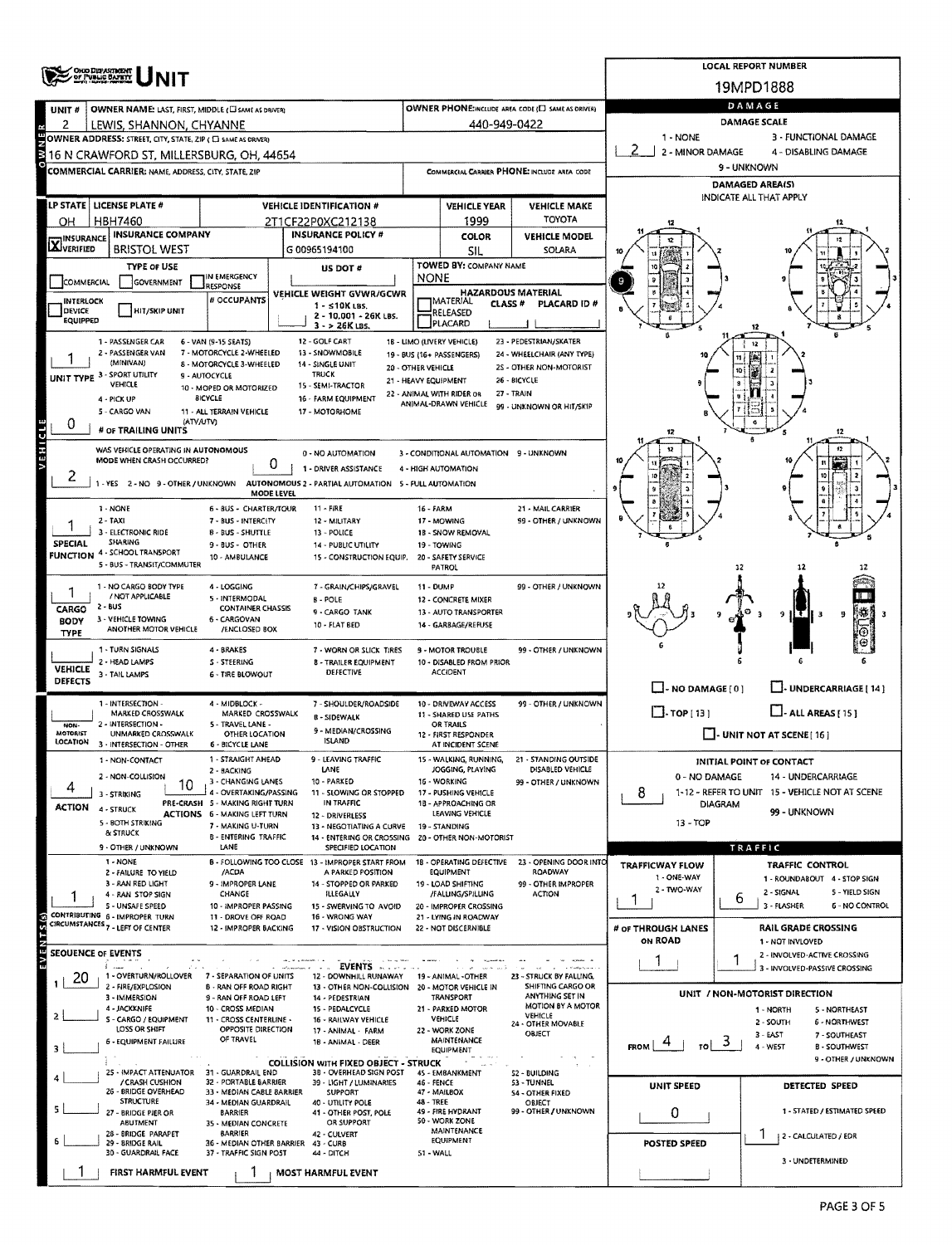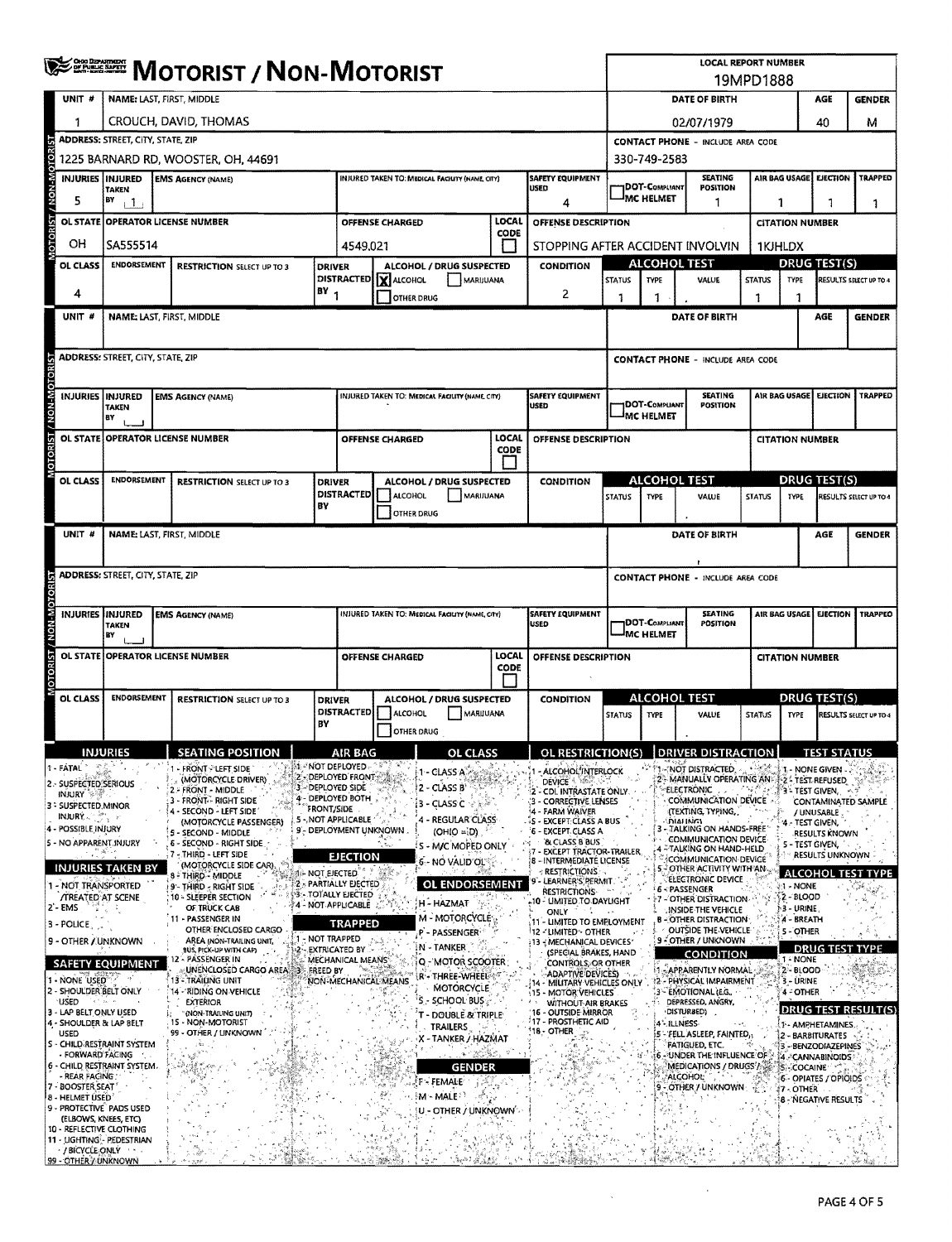|                                                                                                                                                                                                                                                                                                                                                                                                                                                                                                                                                                                                                                                                     | <b>ERRICH MOTORIST / NON-MOTORIST</b>                                           |                                                                             |                                                                                                                                                                                                                                                                                                                                                                                                                                                                                                                                                                                                                                                  |                                                               |                                                                                                                                                                                                                                                                                                                      |                                |                                                                                                                                                                                                                                                                                                                                                                                                                                 |               | <b>LOCAL REPORT NUMBER</b><br>19MPD1888                                                                                                                                                                                                                                                                                                                                                                                                                                                                                                                                                                                                                               |                                  |                                                                                     |                                                                                                                                                                                                                                                                                                                                                                                                                                                                                                                                                                                                                                                                                                                                                                   |                        |                                                                                                                                                                                                  |                                                                                                                                                                                                                                                           |                                                                                                        |  |
|---------------------------------------------------------------------------------------------------------------------------------------------------------------------------------------------------------------------------------------------------------------------------------------------------------------------------------------------------------------------------------------------------------------------------------------------------------------------------------------------------------------------------------------------------------------------------------------------------------------------------------------------------------------------|---------------------------------------------------------------------------------|-----------------------------------------------------------------------------|--------------------------------------------------------------------------------------------------------------------------------------------------------------------------------------------------------------------------------------------------------------------------------------------------------------------------------------------------------------------------------------------------------------------------------------------------------------------------------------------------------------------------------------------------------------------------------------------------------------------------------------------------|---------------------------------------------------------------|----------------------------------------------------------------------------------------------------------------------------------------------------------------------------------------------------------------------------------------------------------------------------------------------------------------------|--------------------------------|---------------------------------------------------------------------------------------------------------------------------------------------------------------------------------------------------------------------------------------------------------------------------------------------------------------------------------------------------------------------------------------------------------------------------------|---------------|-----------------------------------------------------------------------------------------------------------------------------------------------------------------------------------------------------------------------------------------------------------------------------------------------------------------------------------------------------------------------------------------------------------------------------------------------------------------------------------------------------------------------------------------------------------------------------------------------------------------------------------------------------------------------|----------------------------------|-------------------------------------------------------------------------------------|-------------------------------------------------------------------------------------------------------------------------------------------------------------------------------------------------------------------------------------------------------------------------------------------------------------------------------------------------------------------------------------------------------------------------------------------------------------------------------------------------------------------------------------------------------------------------------------------------------------------------------------------------------------------------------------------------------------------------------------------------------------------|------------------------|--------------------------------------------------------------------------------------------------------------------------------------------------------------------------------------------------|-----------------------------------------------------------------------------------------------------------------------------------------------------------------------------------------------------------------------------------------------------------|--------------------------------------------------------------------------------------------------------|--|
| UNIT #                                                                                                                                                                                                                                                                                                                                                                                                                                                                                                                                                                                                                                                              | NAME: LAST, FIRST, MIDDLE                                                       |                                                                             |                                                                                                                                                                                                                                                                                                                                                                                                                                                                                                                                                                                                                                                  |                                                               |                                                                                                                                                                                                                                                                                                                      |                                |                                                                                                                                                                                                                                                                                                                                                                                                                                 |               |                                                                                                                                                                                                                                                                                                                                                                                                                                                                                                                                                                                                                                                                       | DATE OF BIRTH                    |                                                                                     |                                                                                                                                                                                                                                                                                                                                                                                                                                                                                                                                                                                                                                                                                                                                                                   |                        |                                                                                                                                                                                                  | <b>GENDER</b>                                                                                                                                                                                                                                             |                                                                                                        |  |
| 1                                                                                                                                                                                                                                                                                                                                                                                                                                                                                                                                                                                                                                                                   | CROUCH, DAVID, THOMAS                                                           |                                                                             |                                                                                                                                                                                                                                                                                                                                                                                                                                                                                                                                                                                                                                                  |                                                               |                                                                                                                                                                                                                                                                                                                      |                                |                                                                                                                                                                                                                                                                                                                                                                                                                                 |               |                                                                                                                                                                                                                                                                                                                                                                                                                                                                                                                                                                                                                                                                       |                                  | 02/07/1979                                                                          |                                                                                                                                                                                                                                                                                                                                                                                                                                                                                                                                                                                                                                                                                                                                                                   | 40                     | м                                                                                                                                                                                                |                                                                                                                                                                                                                                                           |                                                                                                        |  |
|                                                                                                                                                                                                                                                                                                                                                                                                                                                                                                                                                                                                                                                                     | <b>ADDRESS: STREET, CITY, STATE, ZIP</b><br>1225 BARNARD RD. WOOSTER, OH. 44691 |                                                                             |                                                                                                                                                                                                                                                                                                                                                                                                                                                                                                                                                                                                                                                  |                                                               |                                                                                                                                                                                                                                                                                                                      |                                |                                                                                                                                                                                                                                                                                                                                                                                                                                 |               |                                                                                                                                                                                                                                                                                                                                                                                                                                                                                                                                                                                                                                                                       |                                  | <b>CONTACT PHONE - INCLUDE AREA CODE</b>                                            |                                                                                                                                                                                                                                                                                                                                                                                                                                                                                                                                                                                                                                                                                                                                                                   |                        |                                                                                                                                                                                                  |                                                                                                                                                                                                                                                           |                                                                                                        |  |
| <b>ADTON-MOTOR</b><br><b>INJURIES IINJURED</b>                                                                                                                                                                                                                                                                                                                                                                                                                                                                                                                                                                                                                      |                                                                                 |                                                                             | <b>EMS AGENCY (NAME)</b>                                                                                                                                                                                                                                                                                                                                                                                                                                                                                                                                                                                                                         |                                                               |                                                                                                                                                                                                                                                                                                                      |                                | INJURED TAKEN TO: MEDICAL FACIUTY (NAME, CITY)                                                                                                                                                                                                                                                                                                                                                                                  |               | <b>SAFETY EQUIPMENT</b>                                                                                                                                                                                                                                                                                                                                                                                                                                                                                                                                                                                                                                               |                                  | 330-749-2583                                                                        | <b>SEATING</b>                                                                                                                                                                                                                                                                                                                                                                                                                                                                                                                                                                                                                                                                                                                                                    |                        |                                                                                                                                                                                                  | AIR BAG USAGE EJECTION                                                                                                                                                                                                                                    | <b>TRAPPED</b>                                                                                         |  |
| 5                                                                                                                                                                                                                                                                                                                                                                                                                                                                                                                                                                                                                                                                   | <b>TAKEN</b><br>BY<br>$+1$                                                      |                                                                             |                                                                                                                                                                                                                                                                                                                                                                                                                                                                                                                                                                                                                                                  |                                                               |                                                                                                                                                                                                                                                                                                                      |                                | <b>USED</b>                                                                                                                                                                                                                                                                                                                                                                                                                     |               | <b>DOT-COMPLIANT</b><br><b>POSITION</b><br><b>IMC HELMET</b><br>1                                                                                                                                                                                                                                                                                                                                                                                                                                                                                                                                                                                                     |                                  |                                                                                     |                                                                                                                                                                                                                                                                                                                                                                                                                                                                                                                                                                                                                                                                                                                                                                   | 1                      | 1                                                                                                                                                                                                |                                                                                                                                                                                                                                                           |                                                                                                        |  |
|                                                                                                                                                                                                                                                                                                                                                                                                                                                                                                                                                                                                                                                                     | LOCAL<br>OL STATE OPERATOR LICENSE NUMBER<br><b>OFFENSE CHARGED</b>             |                                                                             |                                                                                                                                                                                                                                                                                                                                                                                                                                                                                                                                                                                                                                                  |                                                               |                                                                                                                                                                                                                                                                                                                      |                                |                                                                                                                                                                                                                                                                                                                                                                                                                                 |               | 4<br>OFFENSE DESCRIPTION                                                                                                                                                                                                                                                                                                                                                                                                                                                                                                                                                                                                                                              |                                  |                                                                                     |                                                                                                                                                                                                                                                                                                                                                                                                                                                                                                                                                                                                                                                                                                                                                                   | 1                      | <b>CITATION NUMBER</b>                                                                                                                                                                           |                                                                                                                                                                                                                                                           |                                                                                                        |  |
| OTORIST<br>OН                                                                                                                                                                                                                                                                                                                                                                                                                                                                                                                                                                                                                                                       | CODE<br>SA555514<br>4549.021                                                    |                                                                             |                                                                                                                                                                                                                                                                                                                                                                                                                                                                                                                                                                                                                                                  |                                                               |                                                                                                                                                                                                                                                                                                                      |                                |                                                                                                                                                                                                                                                                                                                                                                                                                                 |               |                                                                                                                                                                                                                                                                                                                                                                                                                                                                                                                                                                                                                                                                       | STOPPING AFTER ACCIDENT INVOLVIN |                                                                                     |                                                                                                                                                                                                                                                                                                                                                                                                                                                                                                                                                                                                                                                                                                                                                                   |                        | <b>1KJHLDX</b>                                                                                                                                                                                   |                                                                                                                                                                                                                                                           |                                                                                                        |  |
| OL CLASS                                                                                                                                                                                                                                                                                                                                                                                                                                                                                                                                                                                                                                                            | <b>ENDORSEMENT</b>                                                              | <b>RESTRICTION SELECT UP TO 3</b>                                           |                                                                                                                                                                                                                                                                                                                                                                                                                                                                                                                                                                                                                                                  | ALCOHOL / DRUG SUSPECTED<br><b>CONDITION</b><br><b>DRIVER</b> |                                                                                                                                                                                                                                                                                                                      |                                |                                                                                                                                                                                                                                                                                                                                                                                                                                 | ALCOHOL TEST  |                                                                                                                                                                                                                                                                                                                                                                                                                                                                                                                                                                                                                                                                       |                                  |                                                                                     | <b>DRUG TEST(S)</b>                                                                                                                                                                                                                                                                                                                                                                                                                                                                                                                                                                                                                                                                                                                                               |                        |                                                                                                                                                                                                  |                                                                                                                                                                                                                                                           |                                                                                                        |  |
| 4                                                                                                                                                                                                                                                                                                                                                                                                                                                                                                                                                                                                                                                                   |                                                                                 |                                                                             |                                                                                                                                                                                                                                                                                                                                                                                                                                                                                                                                                                                                                                                  | $18Y_1$                                                       |                                                                                                                                                                                                                                                                                                                      | DISTRACTED X ALCOHOL           | MARIJUANA                                                                                                                                                                                                                                                                                                                                                                                                                       |               | 2                                                                                                                                                                                                                                                                                                                                                                                                                                                                                                                                                                                                                                                                     | <b>STATUS</b>                    | TYPE                                                                                | <b>VALUE</b>                                                                                                                                                                                                                                                                                                                                                                                                                                                                                                                                                                                                                                                                                                                                                      | <b>STATUS</b>          | <b>TYPE</b>                                                                                                                                                                                      |                                                                                                                                                                                                                                                           | RESULTS SELECT UP TO 4                                                                                 |  |
| UNIT #                                                                                                                                                                                                                                                                                                                                                                                                                                                                                                                                                                                                                                                              |                                                                                 |                                                                             | NAME: LAST, FIRST, MIDDLE                                                                                                                                                                                                                                                                                                                                                                                                                                                                                                                                                                                                                        |                                                               |                                                                                                                                                                                                                                                                                                                      | OTHER DRUG                     |                                                                                                                                                                                                                                                                                                                                                                                                                                 |               |                                                                                                                                                                                                                                                                                                                                                                                                                                                                                                                                                                                                                                                                       | 1                                | -1                                                                                  | DATE OF BIRTH                                                                                                                                                                                                                                                                                                                                                                                                                                                                                                                                                                                                                                                                                                                                                     | 1                      | 1                                                                                                                                                                                                | AGE                                                                                                                                                                                                                                                       | <b>GENDER</b>                                                                                          |  |
|                                                                                                                                                                                                                                                                                                                                                                                                                                                                                                                                                                                                                                                                     |                                                                                 |                                                                             |                                                                                                                                                                                                                                                                                                                                                                                                                                                                                                                                                                                                                                                  |                                                               |                                                                                                                                                                                                                                                                                                                      |                                |                                                                                                                                                                                                                                                                                                                                                                                                                                 |               |                                                                                                                                                                                                                                                                                                                                                                                                                                                                                                                                                                                                                                                                       |                                  |                                                                                     |                                                                                                                                                                                                                                                                                                                                                                                                                                                                                                                                                                                                                                                                                                                                                                   |                        |                                                                                                                                                                                                  |                                                                                                                                                                                                                                                           |                                                                                                        |  |
|                                                                                                                                                                                                                                                                                                                                                                                                                                                                                                                                                                                                                                                                     | <b>ADDRESS:</b> STREET, CITY, STATE, ZIP                                        |                                                                             |                                                                                                                                                                                                                                                                                                                                                                                                                                                                                                                                                                                                                                                  |                                                               |                                                                                                                                                                                                                                                                                                                      |                                |                                                                                                                                                                                                                                                                                                                                                                                                                                 |               |                                                                                                                                                                                                                                                                                                                                                                                                                                                                                                                                                                                                                                                                       |                                  |                                                                                     | <b>CONTACT PHONE - INCLUDE AREA CODE</b>                                                                                                                                                                                                                                                                                                                                                                                                                                                                                                                                                                                                                                                                                                                          |                        |                                                                                                                                                                                                  |                                                                                                                                                                                                                                                           |                                                                                                        |  |
|                                                                                                                                                                                                                                                                                                                                                                                                                                                                                                                                                                                                                                                                     |                                                                                 |                                                                             |                                                                                                                                                                                                                                                                                                                                                                                                                                                                                                                                                                                                                                                  |                                                               |                                                                                                                                                                                                                                                                                                                      |                                |                                                                                                                                                                                                                                                                                                                                                                                                                                 |               |                                                                                                                                                                                                                                                                                                                                                                                                                                                                                                                                                                                                                                                                       |                                  |                                                                                     |                                                                                                                                                                                                                                                                                                                                                                                                                                                                                                                                                                                                                                                                                                                                                                   |                        |                                                                                                                                                                                                  |                                                                                                                                                                                                                                                           |                                                                                                        |  |
| <b>NON-MOTORIST</b>                                                                                                                                                                                                                                                                                                                                                                                                                                                                                                                                                                                                                                                 | INJURIES   INJURED<br><b>EMS AGENCY (NAME)</b><br>TAKEN<br>BY                   |                                                                             |                                                                                                                                                                                                                                                                                                                                                                                                                                                                                                                                                                                                                                                  |                                                               |                                                                                                                                                                                                                                                                                                                      |                                | INJURED TAKEN TO: MEDICAL FACILITY (NAME CITY)                                                                                                                                                                                                                                                                                                                                                                                  |               | SAFETY EQUIPMENT<br>USED                                                                                                                                                                                                                                                                                                                                                                                                                                                                                                                                                                                                                                              |                                  | <b>SEATING</b><br><b>DOT-COMPLIANT</b><br><b>POSITION</b><br><sup>J</sup> MC HELMET |                                                                                                                                                                                                                                                                                                                                                                                                                                                                                                                                                                                                                                                                                                                                                                   |                        | AIR BAG USAGE<br><b>EJECTION</b>                                                                                                                                                                 |                                                                                                                                                                                                                                                           | TRAPPED                                                                                                |  |
| <b>DTORIST</b>                                                                                                                                                                                                                                                                                                                                                                                                                                                                                                                                                                                                                                                      |                                                                                 |                                                                             | OL STATE OPERATOR LICENSE NUMBER                                                                                                                                                                                                                                                                                                                                                                                                                                                                                                                                                                                                                 |                                                               |                                                                                                                                                                                                                                                                                                                      | <b>OFFENSE CHARGED</b>         |                                                                                                                                                                                                                                                                                                                                                                                                                                 | LOCAL<br>CODE | OFFENSE DESCRIPTION                                                                                                                                                                                                                                                                                                                                                                                                                                                                                                                                                                                                                                                   |                                  |                                                                                     |                                                                                                                                                                                                                                                                                                                                                                                                                                                                                                                                                                                                                                                                                                                                                                   | <b>CITATION NUMBER</b> |                                                                                                                                                                                                  |                                                                                                                                                                                                                                                           |                                                                                                        |  |
|                                                                                                                                                                                                                                                                                                                                                                                                                                                                                                                                                                                                                                                                     |                                                                                 |                                                                             |                                                                                                                                                                                                                                                                                                                                                                                                                                                                                                                                                                                                                                                  |                                                               |                                                                                                                                                                                                                                                                                                                      |                                |                                                                                                                                                                                                                                                                                                                                                                                                                                 |               |                                                                                                                                                                                                                                                                                                                                                                                                                                                                                                                                                                                                                                                                       |                                  |                                                                                     |                                                                                                                                                                                                                                                                                                                                                                                                                                                                                                                                                                                                                                                                                                                                                                   |                        |                                                                                                                                                                                                  |                                                                                                                                                                                                                                                           |                                                                                                        |  |
| OL CLASS                                                                                                                                                                                                                                                                                                                                                                                                                                                                                                                                                                                                                                                            | <b>ENDORSEMENT</b><br><b>RESTRICTION SELECT UP TO 3</b>                         |                                                                             |                                                                                                                                                                                                                                                                                                                                                                                                                                                                                                                                                                                                                                                  |                                                               | ALCOHOL / DRUG SUSPECTED<br><b>DRIVER</b><br><b>DISTRACTED</b><br>ALCOHOL<br>MARIJUANA                                                                                                                                                                                                                               |                                |                                                                                                                                                                                                                                                                                                                                                                                                                                 |               | <b>CONDITION</b>                                                                                                                                                                                                                                                                                                                                                                                                                                                                                                                                                                                                                                                      | <b>STATUS</b>                    | ALCOHOL TEST<br><b>TYPE</b>                                                         | VALUE                                                                                                                                                                                                                                                                                                                                                                                                                                                                                                                                                                                                                                                                                                                                                             | <b>STATUS</b>          | <b>TYPE</b>                                                                                                                                                                                      | DRUG TEST(S)                                                                                                                                                                                                                                              | RESULTS SELECT UP TO 4                                                                                 |  |
|                                                                                                                                                                                                                                                                                                                                                                                                                                                                                                                                                                                                                                                                     |                                                                                 |                                                                             |                                                                                                                                                                                                                                                                                                                                                                                                                                                                                                                                                                                                                                                  | BΥ                                                            |                                                                                                                                                                                                                                                                                                                      | <b>OTHER DRUG</b>              |                                                                                                                                                                                                                                                                                                                                                                                                                                 |               |                                                                                                                                                                                                                                                                                                                                                                                                                                                                                                                                                                                                                                                                       |                                  |                                                                                     |                                                                                                                                                                                                                                                                                                                                                                                                                                                                                                                                                                                                                                                                                                                                                                   |                        |                                                                                                                                                                                                  |                                                                                                                                                                                                                                                           |                                                                                                        |  |
| UNIT #                                                                                                                                                                                                                                                                                                                                                                                                                                                                                                                                                                                                                                                              |                                                                                 |                                                                             | NAME: LAST, FIRST, MIDDLE                                                                                                                                                                                                                                                                                                                                                                                                                                                                                                                                                                                                                        |                                                               |                                                                                                                                                                                                                                                                                                                      |                                |                                                                                                                                                                                                                                                                                                                                                                                                                                 |               |                                                                                                                                                                                                                                                                                                                                                                                                                                                                                                                                                                                                                                                                       |                                  |                                                                                     | DATE OF BIRTH                                                                                                                                                                                                                                                                                                                                                                                                                                                                                                                                                                                                                                                                                                                                                     |                        |                                                                                                                                                                                                  | AGE                                                                                                                                                                                                                                                       | <b>GENDER</b>                                                                                          |  |
|                                                                                                                                                                                                                                                                                                                                                                                                                                                                                                                                                                                                                                                                     |                                                                                 |                                                                             |                                                                                                                                                                                                                                                                                                                                                                                                                                                                                                                                                                                                                                                  |                                                               |                                                                                                                                                                                                                                                                                                                      |                                |                                                                                                                                                                                                                                                                                                                                                                                                                                 |               |                                                                                                                                                                                                                                                                                                                                                                                                                                                                                                                                                                                                                                                                       |                                  |                                                                                     |                                                                                                                                                                                                                                                                                                                                                                                                                                                                                                                                                                                                                                                                                                                                                                   |                        |                                                                                                                                                                                                  |                                                                                                                                                                                                                                                           |                                                                                                        |  |
|                                                                                                                                                                                                                                                                                                                                                                                                                                                                                                                                                                                                                                                                     | <b>ADDRESS: STREET, CITY, STATE, ZIP</b>                                        |                                                                             |                                                                                                                                                                                                                                                                                                                                                                                                                                                                                                                                                                                                                                                  |                                                               |                                                                                                                                                                                                                                                                                                                      |                                |                                                                                                                                                                                                                                                                                                                                                                                                                                 |               |                                                                                                                                                                                                                                                                                                                                                                                                                                                                                                                                                                                                                                                                       |                                  |                                                                                     | <b>CONTACT PHONE - INCLUDE AREA CODE</b>                                                                                                                                                                                                                                                                                                                                                                                                                                                                                                                                                                                                                                                                                                                          |                        |                                                                                                                                                                                                  |                                                                                                                                                                                                                                                           |                                                                                                        |  |
| <b>M-NOM</b>                                                                                                                                                                                                                                                                                                                                                                                                                                                                                                                                                                                                                                                        | INJURIES IINJURED<br><b>TAKEN</b><br>BY                                         | INJURED TAKEN TO: MEDICAL FACILITY (NAME, CITY)<br><b>EMS AGENCY (NAME)</b> |                                                                                                                                                                                                                                                                                                                                                                                                                                                                                                                                                                                                                                                  |                                                               |                                                                                                                                                                                                                                                                                                                      |                                | <b>SAFETY EQUIPMENT</b><br>USED                                                                                                                                                                                                                                                                                                                                                                                                 |               | <b>DOT-COMPLIANT</b><br><b>IMC HELMET</b>                                                                                                                                                                                                                                                                                                                                                                                                                                                                                                                                                                                                                             | <b>SEATING</b><br>POSITION       |                                                                                     | AIR BAG USAGE                                                                                                                                                                                                                                                                                                                                                                                                                                                                                                                                                                                                                                                                                                                                                     | <b>EJECTION</b>        | TRAPPEO                                                                                                                                                                                          |                                                                                                                                                                                                                                                           |                                                                                                        |  |
|                                                                                                                                                                                                                                                                                                                                                                                                                                                                                                                                                                                                                                                                     |                                                                                 |                                                                             | OL STATE OPERATOR LICENSE NUMBER                                                                                                                                                                                                                                                                                                                                                                                                                                                                                                                                                                                                                 |                                                               | LOCAL<br>OFFENSE CHARGED<br>OFFENSE DESCRIPTION<br><b>CODE</b>                                                                                                                                                                                                                                                       |                                |                                                                                                                                                                                                                                                                                                                                                                                                                                 |               |                                                                                                                                                                                                                                                                                                                                                                                                                                                                                                                                                                                                                                                                       |                                  |                                                                                     | <b>CITATION NUMBER</b>                                                                                                                                                                                                                                                                                                                                                                                                                                                                                                                                                                                                                                                                                                                                            |                        |                                                                                                                                                                                                  |                                                                                                                                                                                                                                                           |                                                                                                        |  |
| OL CLASS                                                                                                                                                                                                                                                                                                                                                                                                                                                                                                                                                                                                                                                            | <b>ENDORSEMENT</b>                                                              |                                                                             | <b>RESTRICTION SELECT UP TO 3</b>                                                                                                                                                                                                                                                                                                                                                                                                                                                                                                                                                                                                                | <b>DRIVER</b><br>BY                                           | <b>DISTRACTED</b>                                                                                                                                                                                                                                                                                                    | <b>ALCOHOL</b><br>OTHER DRUG   | ALCOHOL / DRUG SUSPECTED<br>MARUUANA                                                                                                                                                                                                                                                                                                                                                                                            |               | <b>CONDITION</b>                                                                                                                                                                                                                                                                                                                                                                                                                                                                                                                                                                                                                                                      | <b>STATUS</b>                    | <b>ALCOHOL TEST</b><br>TYPE                                                         | <b>VALUE</b>                                                                                                                                                                                                                                                                                                                                                                                                                                                                                                                                                                                                                                                                                                                                                      | <b>STATUS</b>          | <b>TYPE</b>                                                                                                                                                                                      | <b>DRUG TEST(S)</b>                                                                                                                                                                                                                                       | RESULTS SELECT UP TO 4                                                                                 |  |
|                                                                                                                                                                                                                                                                                                                                                                                                                                                                                                                                                                                                                                                                     | <b>INJURIES</b>                                                                 |                                                                             | <b>SEATING POSITION</b>                                                                                                                                                                                                                                                                                                                                                                                                                                                                                                                                                                                                                          |                                                               | AIR BAG                                                                                                                                                                                                                                                                                                              |                                | OL CLASS                                                                                                                                                                                                                                                                                                                                                                                                                        |               | OL RESTRICTION(S) IDRIVER DISTRACTION                                                                                                                                                                                                                                                                                                                                                                                                                                                                                                                                                                                                                                 |                                  |                                                                                     |                                                                                                                                                                                                                                                                                                                                                                                                                                                                                                                                                                                                                                                                                                                                                                   |                        |                                                                                                                                                                                                  | <b>TEST STATUS</b>                                                                                                                                                                                                                                        |                                                                                                        |  |
| 1 - FATAL<br>2 - SUSPECTED SERIOUS<br><b>INJURY SAME</b><br>3 - SUSPECTED, MINOR<br><b>INJURY</b> A 2 2<br>4 - POSSIBLE INJURY<br>5 - NO APPARENT INJURY<br>- 1959<br><b>INJURIES TAKEN BY</b><br>- NOT TRANSPORTED<br><b>/TREATED AT SCENE</b><br>2 - EMS<br>3 - POLICE<br>9 - OTHER / UNKNOWN<br><b>SAFETY EQUIPMENT</b><br>- NONE USED<br>2 - SHOULDER BELT ONLY<br>USED<br>್ರಿಗೆ ನಿಟ<br>3 - LAP BELT ONLY USED<br>  4 - SHOULDER & LAP BELT<br>USED<br>S - CHILD RESTRAINT SYSTEM<br>- FORWARD FACING<br>6 - CHILD RESTRAINT SYSTEM.<br>- REAR FACING :<br>7 - BOOSTER SEAT <sup>*</sup><br>8 - HELMET ÜSED<br>9 - PROTECTIVE PADS USED<br>(ELBOWS, KNEES, ETC) |                                                                                 |                                                                             | - FRONT PLEFT SIDE<br>(MOTORCYCLE DRIVER)<br>2. FRONT - MIDDLE<br>3 - FRONT - RIGHT SIDE<br>- SECOND - LEFT SIDE'<br>(MOTORCYCLE PASSENGER)<br>5 - SECOND - MIDDLE<br>6 - SECOND - RIGHT SIDE<br>7 - THIRD - LEFT SIDE<br>(MOTORCYCLE SIDE CAR).<br>8 - THIRD - MIDDLE<br>w.<br>9'- THIRD - RIGHT SIDE<br>10 - SLEEPER SECTION<br>OF TRUCK CAB<br>11 - PASSENGER IN<br>OTHER ENCLOSED CARGO<br>AREA (NON-TRAILING UNIT,<br><b>BUS, PICK-UP WITH CAP)</b><br>12 - PASSENGER IN<br>UNENCLOSED CARGO AREA<br>13 - TRAILING UNIT<br>14 - RIDING ON VEHICLE<br><b>EXTERIOR</b><br>" (NON-TRAILING UNIT)<br>15 - NON-MOTORIST<br>99 - OTHER / LINKNOWN | <b>FRONT/SIDE</b><br>ai* not ejected.<br>FREED BY             | ∰4 ≈'NOT DEPLOYED - ^ ®<br>2 - DEPLOYED FRONT<br>3 - DEPLOYED SIDE<br>4 - DEPLOYED BOTH<br>5 - NOT APPLICABLE<br>9 - DEPLOYMENT UNKNOWN<br><b>EJECTION</b><br>2. PARTIALLY EJECTED<br><b>93 - TOTALLY EJECTED</b><br>4 - NOT APPLICABLE<br><b>TRAPPED</b><br>1 - NOT TRAPPED<br>2-EXTRICATED BY<br>MECHANICAL MEANS* | NON-MECHANICAL MEANS<br>ಗಳು ಬಾ | 1 - CLASS A<br>2 - CLASS B<br>3 - CLASS C<br>4 - REGULAR CLASS<br>$(OHIO = ID)$<br>S - M/C MOPED ONLY<br>6 - NO VALID OL<br>OL ENDORSEMENT<br>H - HAZMAT<br>M - MOTORCYCLE<br>P - PASSENGER<br>N - TANKER<br>Q - MOTOR SCOOTER<br>r - Three-Wheel<br>MOTORCYCLE<br>S - SCHOOL BUS<br>T - DOUBLE & TRIPLE<br><b>TRAILERS</b><br>X - TANKER / HAZMAT<br><b>GENDER</b><br>F - FEMALE<br>$M \sim MALE^{3/2}$<br>U - OTHER / UNKNOWN |               | ALCOHOL INTERLOCK<br>DEVICE <sup>4</sup><br>- CDL INTRASTATE ONLY<br>- CORRECTIVE LENSES<br>4 - FARM WAIVER<br><b>15 - EXCEPT CLASS A BUS</b><br>6 - EXCEPT CLASS A<br>& CLASS B BUS<br>- EXCEPT TRACTOR-TRAILER<br>8 - INTERMEDIATE LICENSE<br>: RESTRICTIONS.<br>9"- LEARNER'S PERMIT.<br><b>RESTRICTIONS-</b><br>-10 - LIMITED TO DAYLIGHT<br>ONLY 7<br>11 - LIMITED TO EMPLOYMENT<br>12 - LIMITED - OTHER<br>13 - MECHANICAL DEVICES<br>(SPECIAL BRAKES, HAND<br>CONTROLS, OR OTHER<br>ADAPTIVE DEVICES)<br>[14 - MILITARY VEHICLES ONLY ].<br>15 - MOTOR VEHICLES<br>WITHOUT AIR BRAKES<br>16 - OUTSIDE MIRROR<br><sup>1</sup> 17 - PROSTHETIC AID<br>18 - OTHER | n San Gui                        | 3<br>4 LLINESS                                                                      | <b>FILL-INOT DISTRACTED.</b><br><b>MANUALLY OPERATING AND</b><br>ELECTRONIC<br>COMMUNICATION DEVICE<br>(TEXTING, TYPING,<br><b>DIALING</b><br>- TALKING ON HANDS-FREE<br><b>GOMMUNICATION DEVICE</b><br><b>FTALKING ON HAND-HELD</b><br><b>COMMUNICATION DEVICE</b><br>5 - OTHER ACTIVITY WITH AN<br>ELECTRONIC DEVICE<br>6 - PASSENGER<br><b>17 - OTHER DISTRACTION</b><br>INSIDE THE VEHICLE<br><b>B - OTHER DISTRACTION</b><br>OUTSIDE THE VEHICLE<br>9 - OTHER / UNKNOWN<br>CONDITION<br><b>11-APPARENTLY NORMAL</b><br>12 - PHYSICAL IMPAIRMENT<br>3 - EMOTIONAL (E.G.,<br>DEPRESSED, ANGRY,<br>DISTURBED)<br>5 - FELL ASLEEP, FAINTED,<br><b>FATIGUED, ETC.</b><br>-UNDER THE INFLUENCE OF<br>MEDICATIONS / DRUGS /<br><b>ALCOHOL</b><br>- OTHER / UNKNOWN- |                        | 3 - TEST GIVEN,<br>'4 - TEST GIVEN,<br>5 - TEST GIVEN.<br>1 - NONE<br>2 - 8LOOD<br>⊱3 - URINE  <br>4 - BREATH<br><b>S-OTHER</b><br>1 - NONE<br>2 - BLOOD<br>3 - URINE<br>4 - OTHER<br>47 - OTHER | 1 - NONE GIVEN<br>2 - TEST REFUSED<br>/ UNUSABLE.<br><b>RESULTS KNOWN</b><br>RESULTS UNKNOWN<br>1 - AMPHETAMINES<br>2 - BARBITURATES<br><b>3 - BENZODIAZEPINES</b><br>4-CANNABINOIDS<br>5-COCAINE<br>6 - OPIATES / OPIOIDS<br><b>8 - NEGATIVE RESULTS</b> | CONTAMINATED SAMPLE<br><b>ALCOHOL TEST TYPE</b><br><b>DRUG TEST TYPE</b><br><b>DRUG TEST RESULT(S)</b> |  |
| 10 REFLECTIVE CLOTHING<br>11 - LIGHTING - PEDESTRIAN<br>- / BICYCLE ONLY<br>99 - OTHER / UNKNOWN                                                                                                                                                                                                                                                                                                                                                                                                                                                                                                                                                                    |                                                                                 |                                                                             |                                                                                                                                                                                                                                                                                                                                                                                                                                                                                                                                                                                                                                                  |                                                               |                                                                                                                                                                                                                                                                                                                      |                                |                                                                                                                                                                                                                                                                                                                                                                                                                                 |               |                                                                                                                                                                                                                                                                                                                                                                                                                                                                                                                                                                                                                                                                       |                                  |                                                                                     |                                                                                                                                                                                                                                                                                                                                                                                                                                                                                                                                                                                                                                                                                                                                                                   |                        |                                                                                                                                                                                                  |                                                                                                                                                                                                                                                           |                                                                                                        |  |

 $\sim$ 

 $\Delta \phi$